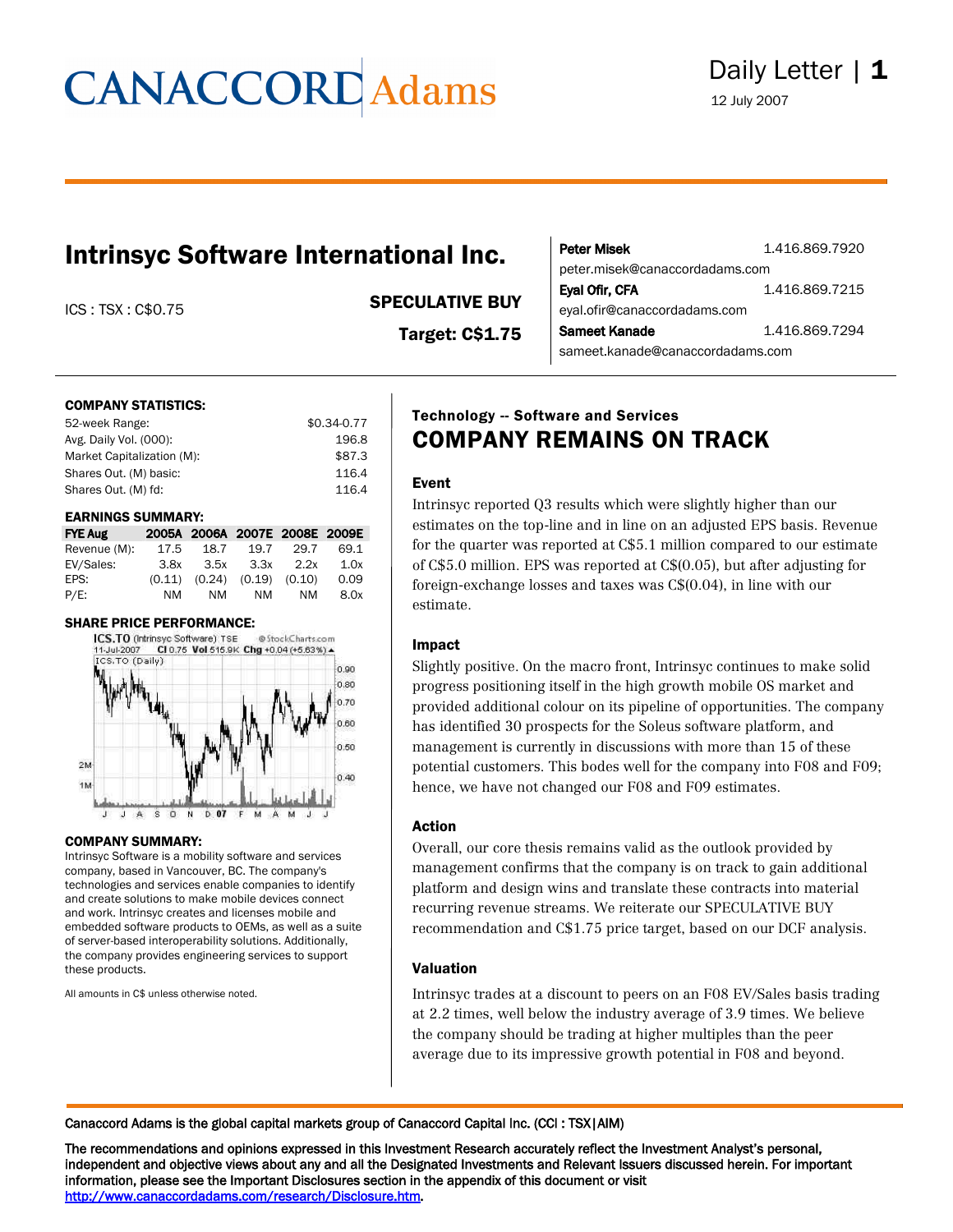## Daily Letter | 1

12 July 2007

### Intrinsyc Software International Inc.

#### ICS : TSX : C\$0.75 SPECULATIVE BUY

Target: C\$1.75

| Peter Misek                      | 1.416.869.7920 |
|----------------------------------|----------------|
| peter.misek@canaccordadams.com   |                |
| Eyal Ofir, CFA                   | 1.416.869.7215 |
| eyal.ofir@canaccordadams.com     |                |
| Sameet Kanade                    | 1.416.869.7294 |
| sameet.kanade@canaccordadams.com |                |

#### COMPANY STATISTICS:

| 52-week Range:             | $$0.34 - 0.77$ |
|----------------------------|----------------|
| Avg. Daily Vol. (000):     | 196.8          |
| Market Capitalization (M): | \$87.3         |
| Shares Out. (M) basic:     | 116.4          |
| Shares Out. (M) fd:        | 116.4          |

#### EARNINGS SUMMARY:

| <b>FYE Aug</b> |      |      | 2005A 2006A 2007E 2008E 2009E       |      |      |
|----------------|------|------|-------------------------------------|------|------|
| Revenue (M):   | 17.5 | 18.7 | 19.7                                | 29.7 | 69.1 |
| EV/Sales:      |      |      | $3.8x$ $3.5x$ $3.3x$ $2.2x$         |      | 1.0x |
| EPS:           |      |      | $(0.11)$ $(0.24)$ $(0.19)$ $(0.10)$ |      | 0.09 |
| P/E:           | NM   | NM   | NM                                  | NM.  | 8.0x |

#### SHARE PRICE PERFORMANCE:



#### COMPANY SUMMARY:

Intrinsyc Software is a mobility software and services company, based in Vancouver, BC. The company's technologies and services enable companies to identify and create solutions to make mobile devices connect and work. Intrinsyc creates and licenses mobile and embedded software products to OEMs, as well as a suite of server-based interoperability solutions. Additionally, the company provides engineering services to support these products.

All amounts in C\$ unless otherwise noted.

#### Technology -- Software and Services COMPANY REMAINS ON TRACK

#### Event

Intrinsyc reported Q3 results which were slightly higher than our estimates on the top-line and in line on an adjusted EPS basis. Revenue for the quarter was reported at C\$5.1 million compared to our estimate of C\$5.0 million. EPS was reported at C\$(0.05), but after adjusting for foreign-exchange losses and taxes was C\$(0.04), in line with our estimate.

#### Impact

Slightly positive. On the macro front, Intrinsyc continues to make solid progress positioning itself in the high growth mobile OS market and provided additional colour on its pipeline of opportunities. The company has identified 30 prospects for the Soleus software platform, and management is currently in discussions with more than 15 of these potential customers. This bodes well for the company into F08 and F09; hence, we have not changed our F08 and F09 estimates.

#### Action

Overall, our core thesis remains valid as the outlook provided by management confirms that the company is on track to gain additional platform and design wins and translate these contracts into material recurring revenue streams. We reiterate our SPECULATIVE BUY recommendation and C\$1.75 price target, based on our DCF analysis.

#### Valuation

Intrinsyc trades at a discount to peers on an F08 EV/Sales basis trading at 2.2 times, well below the industry average of 3.9 times. We believe the company should be trading at higher multiples than the peer average due to its impressive growth potential in F08 and beyond.

Canaccord Adams is the global capital markets group of Canaccord Capital Inc. (CCI : TSX|AIM)

The recommendations and opinions expressed in this Investment Research accurately reflect the Investment Analyst's personal, independent and objective views about any and all the Designated Investments and Relevant Issuers discussed herein. For important information, please see the Important Disclosures section in the appendix of this document or visit http://www.canaccordadams.com/research/Disclosure.htm.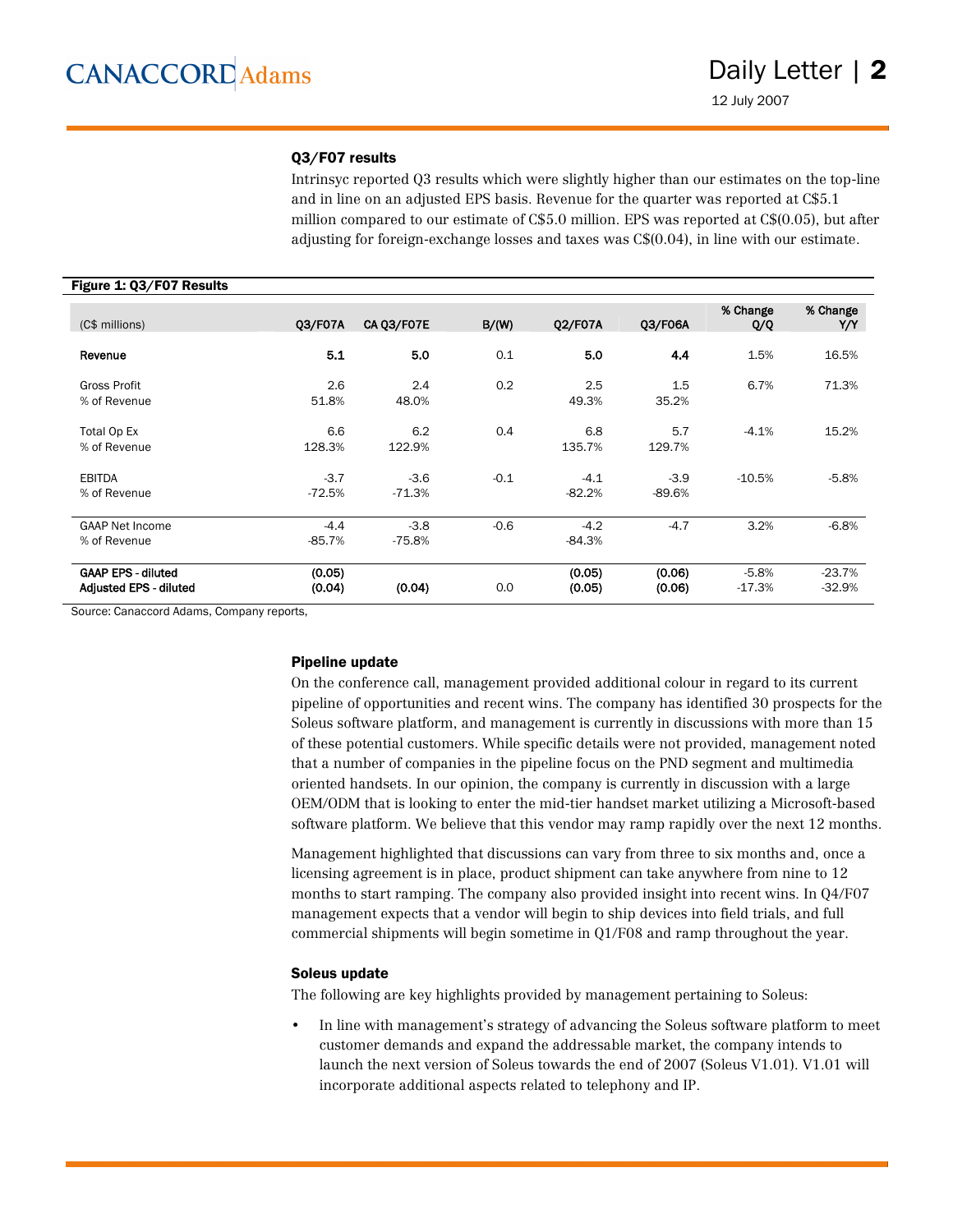#### Q3/F07 results

Intrinsyc reported Q3 results which were slightly higher than our estimates on the top-line and in line on an adjusted EPS basis. Revenue for the quarter was reported at  $C$5.1$ million compared to our estimate of  $C$5.0$  million. EPS was reported at  $C$0.05$ , but after adjusting for foreign-exchange losses and taxes was C\$(0.04), in line with our estimate.

#### Figure 1: Q3/F07 Results

| (C\$ millions)                                             | 03/F07A            | CA Q3/F07E         | B/(W)  | Q2/F07A            | 03/F06A            | % Change<br>Q/Q     | % Change<br>Y/Y      |
|------------------------------------------------------------|--------------------|--------------------|--------|--------------------|--------------------|---------------------|----------------------|
| Revenue                                                    | 5.1                | 5.0                | 0.1    | 5.0                | 4.4                | 1.5%                | 16.5%                |
| Gross Profit<br>% of Revenue                               | 2.6<br>51.8%       | 2.4<br>48.0%       | 0.2    | 2.5<br>49.3%       | 1.5<br>35.2%       | 6.7%                | 71.3%                |
| Total Op Ex<br>% of Revenue                                | 6.6<br>128.3%      | 6.2<br>122.9%      | 0.4    | 6.8<br>135.7%      | 5.7<br>129.7%      | $-4.1%$             | 15.2%                |
| <b>EBITDA</b><br>% of Revenue                              | $-3.7$<br>$-72.5%$ | $-3.6$<br>$-71.3%$ | $-0.1$ | $-4.1$<br>$-82.2%$ | $-3.9$<br>$-89.6%$ | $-10.5%$            | $-5.8%$              |
| <b>GAAP Net Income</b><br>% of Revenue                     | $-4.4$<br>$-85.7%$ | $-3.8$<br>$-75.8%$ | $-0.6$ | $-4.2$<br>$-84.3%$ | $-4.7$             | 3.2%                | $-6.8%$              |
| <b>GAAP EPS - diluted</b><br><b>Adjusted EPS - diluted</b> | (0.05)<br>(0.04)   | (0.04)             | 0.0    | (0.05)<br>(0.05)   | (0.06)<br>(0.06)   | $-5.8%$<br>$-17.3%$ | $-23.7%$<br>$-32.9%$ |

Source: Canaccord Adams, Company reports,

#### Pipeline update

On the conference call, management provided additional colour in regard to its current pipeline of opportunities and recent wins. The company has identified 30 prospects for the Soleus software platform, and management is currently in discussions with more than 15 of these potential customers. While specific details were not provided, management noted that a number of companies in the pipeline focus on the PND segment and multimedia oriented handsets. In our opinion, the company is currently in discussion with a large OEM/ODM that is looking to enter the mid-tier handset market utilizing a Microsoft-based software platform. We believe that this vendor may ramp rapidly over the next 12 months.

Management highlighted that discussions can vary from three to six months and, once a licensing agreement is in place, product shipment can take anywhere from nine to 12 months to start ramping. The company also provided insight into recent wins. In Q4/F07 management expects that a vendor will begin to ship devices into field trials, and full commercial shipments will begin sometime in Q1/F08 and ramp throughout the year.

#### Soleus update

The following are key highlights provided by management pertaining to Soleus:

• In line with management's strategy of advancing the Soleus software platform to meet customer demands and expand the addressable market, the company intends to launch the next version of Soleus towards the end of 2007 (Soleus V1.01). V1.01 will incorporate additional aspects related to telephony and IP.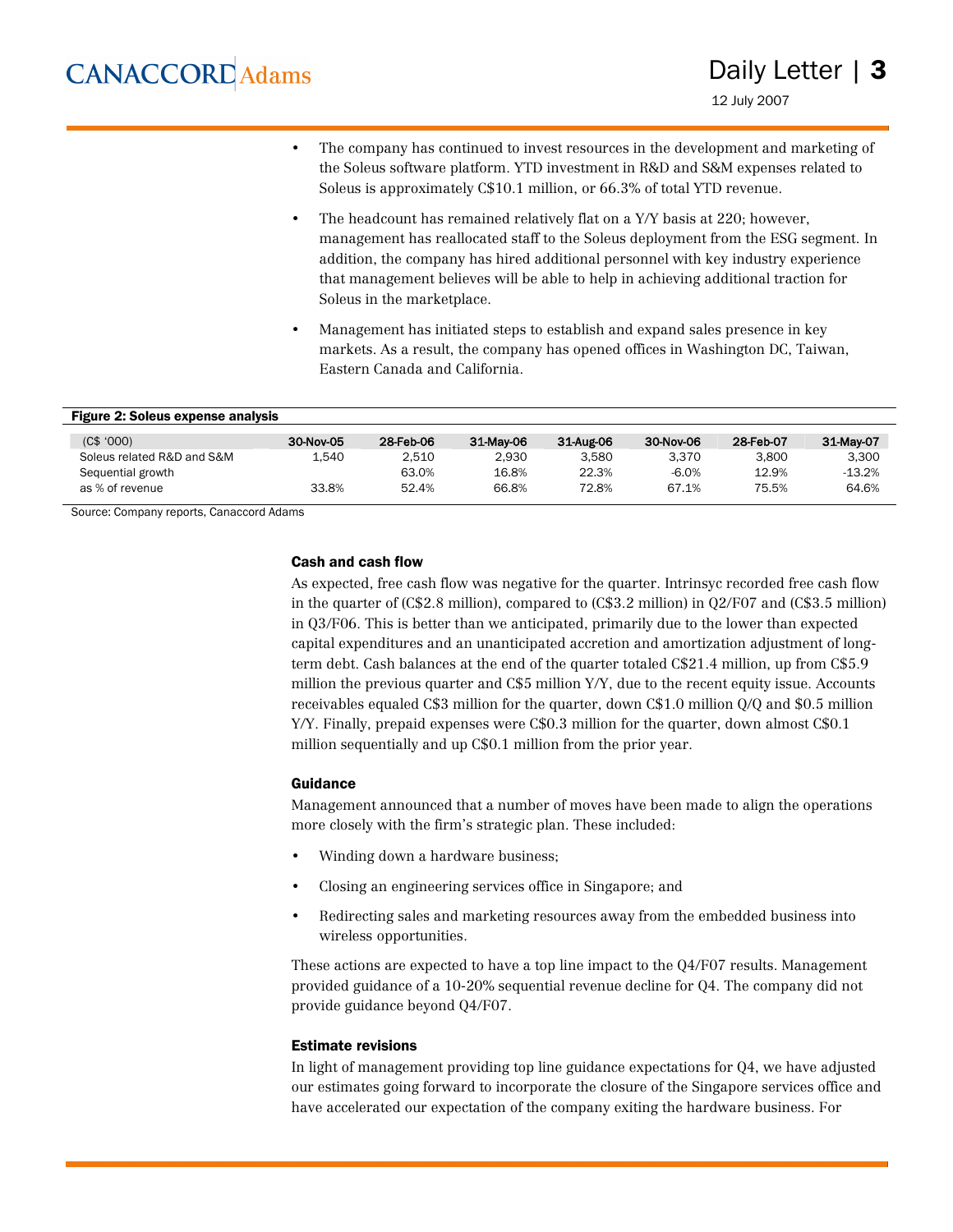- The company has continued to invest resources in the development and marketing of the Soleus software platform. YTD investment in R&D and S&M expenses related to Soleus is approximately C\$10.1 million, or 66.3% of total YTD revenue.
- The headcount has remained relatively flat on a Y/Y basis at 220; however, management has reallocated staff to the Soleus deployment from the ESG segment. In addition, the company has hired additional personnel with key industry experience that management believes will be able to help in achieving additional traction for Soleus in the marketplace.
- Management has initiated steps to establish and expand sales presence in key markets. As a result, the company has opened offices in Washington DC, Taiwan, Eastern Canada and California.

| <b>Figure 2: Soleus expense analysis</b> |           |           |           |           |           |           |           |
|------------------------------------------|-----------|-----------|-----------|-----------|-----------|-----------|-----------|
| (C\$, '000)                              | 30-Nov-05 | 28-Feb-06 | 31-May-06 | 31-Aug-06 | 30-Nov-06 | 28-Feb-07 | 31-May-07 |
| Soleus related R&D and S&M               | 1.540     | 2.510     | 2.930     | 3.580     | 3.370     | 3.800     | 3.300     |
| Sequential growth                        |           | 63.0%     | 16.8%     | 22.3%     | $-6.0%$   | 12.9%     | $-13.2%$  |
| as % of revenue                          | 33.8%     | 52.4%     | 66.8%     | 72.8%     | 67.1%     | 75.5%     | 64.6%     |

Source: Company reports, Canaccord Adams

#### Cash and cash flow

As expected, free cash flow was negative for the quarter. Intrinsyc recorded free cash flow in the quarter of (C\$2.8 million), compared to (C\$3.2 million) in Q2/F07 and (C\$3.5 million) in Q3/F06. This is better than we anticipated, primarily due to the lower than expected capital expenditures and an unanticipated accretion and amortization adjustment of longterm debt. Cash balances at the end of the quarter totaled C\$21.4 million, up from C\$5.9 million the previous quarter and C\$5 million Y/Y, due to the recent equity issue. Accounts receivables equaled C\$3 million for the quarter, down C\$1.0 million Q/Q and \$0.5 million Y/Y. Finally, prepaid expenses were C\$0.3 million for the quarter, down almost C\$0.1 million sequentially and up C\$0.1 million from the prior year.

#### Guidance

Management announced that a number of moves have been made to align the operations more closely with the firm's strategic plan. These included:

- Winding down a hardware business;
- Closing an engineering services office in Singapore; and
- Redirecting sales and marketing resources away from the embedded business into wireless opportunities.

These actions are expected to have a top line impact to the Q4/F07 results. Management provided guidance of a 10-20% sequential revenue decline for Q4. The company did not provide guidance beyond Q4/F07.

#### Estimate revisions

In light of management providing top line guidance expectations for Q4, we have adjusted our estimates going forward to incorporate the closure of the Singapore services office and have accelerated our expectation of the company exiting the hardware business. For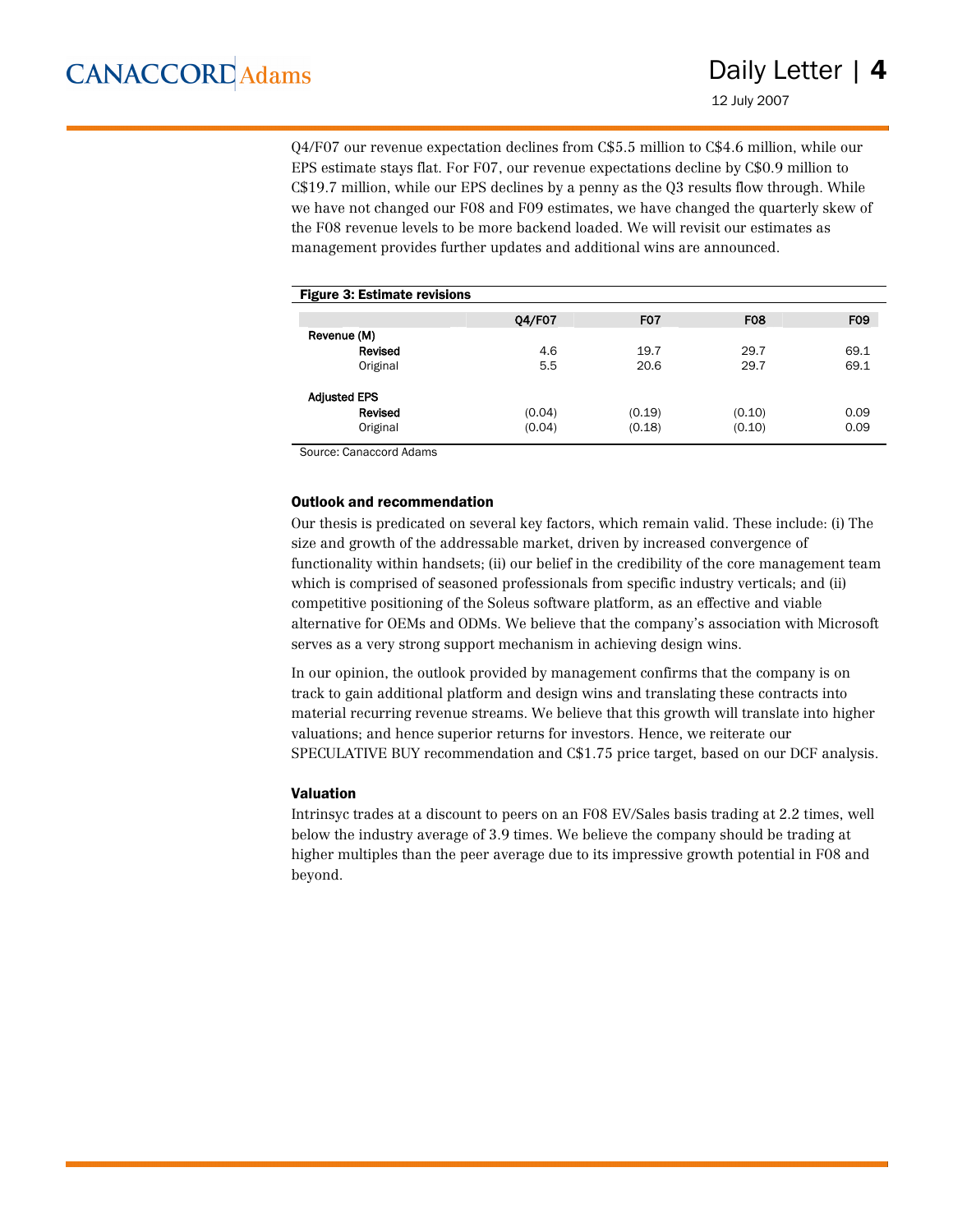Q4/F07 our revenue expectation declines from C\$5.5 million to C\$4.6 million, while our EPS estimate stays flat. For F07, our revenue expectations decline by C\$0.9 million to C\$19.7 million, while our EPS declines by a penny as the Q3 results flow through. While we have not changed our F08 and F09 estimates, we have changed the quarterly skew of the F08 revenue levels to be more backend loaded. We will revisit our estimates as management provides further updates and additional wins are announced.

| <b>Figure 3: Estimate revisions</b> |        |            |            |
|-------------------------------------|--------|------------|------------|
| 04/F07                              | FO7    | <b>F08</b> | <b>FO9</b> |
|                                     |        |            |            |
| 4.6                                 | 19.7   | 29.7       | 69.1       |
| 5.5                                 | 20.6   | 29.7       | 69.1       |
|                                     |        |            |            |
| (0.04)                              | (0.19) | (0.10)     | 0.09       |
| (0.04)                              | (0.18) | (0.10)     | 0.09       |
|                                     |        |            |            |

Source: Canaccord Adams

#### Outlook and recommendation

Our thesis is predicated on several key factors, which remain valid. These include: (i) The size and growth of the addressable market, driven by increased convergence of functionality within handsets; (ii) our belief in the credibility of the core management team which is comprised of seasoned professionals from specific industry verticals; and (ii) competitive positioning of the Soleus software platform, as an effective and viable alternative for OEMs and ODMs. We believe that the company's association with Microsoft serves as a very strong support mechanism in achieving design wins.

In our opinion, the outlook provided by management confirms that the company is on track to gain additional platform and design wins and translating these contracts into material recurring revenue streams. We believe that this growth will translate into higher valuations; and hence superior returns for investors. Hence, we reiterate our SPECULATIVE BUY recommendation and C\$1.75 price target, based on our DCF analysis.

#### Valuation

Intrinsyc trades at a discount to peers on an F08 EV/Sales basis trading at 2.2 times, well below the industry average of 3.9 times. We believe the company should be trading at higher multiples than the peer average due to its impressive growth potential in F08 and beyond.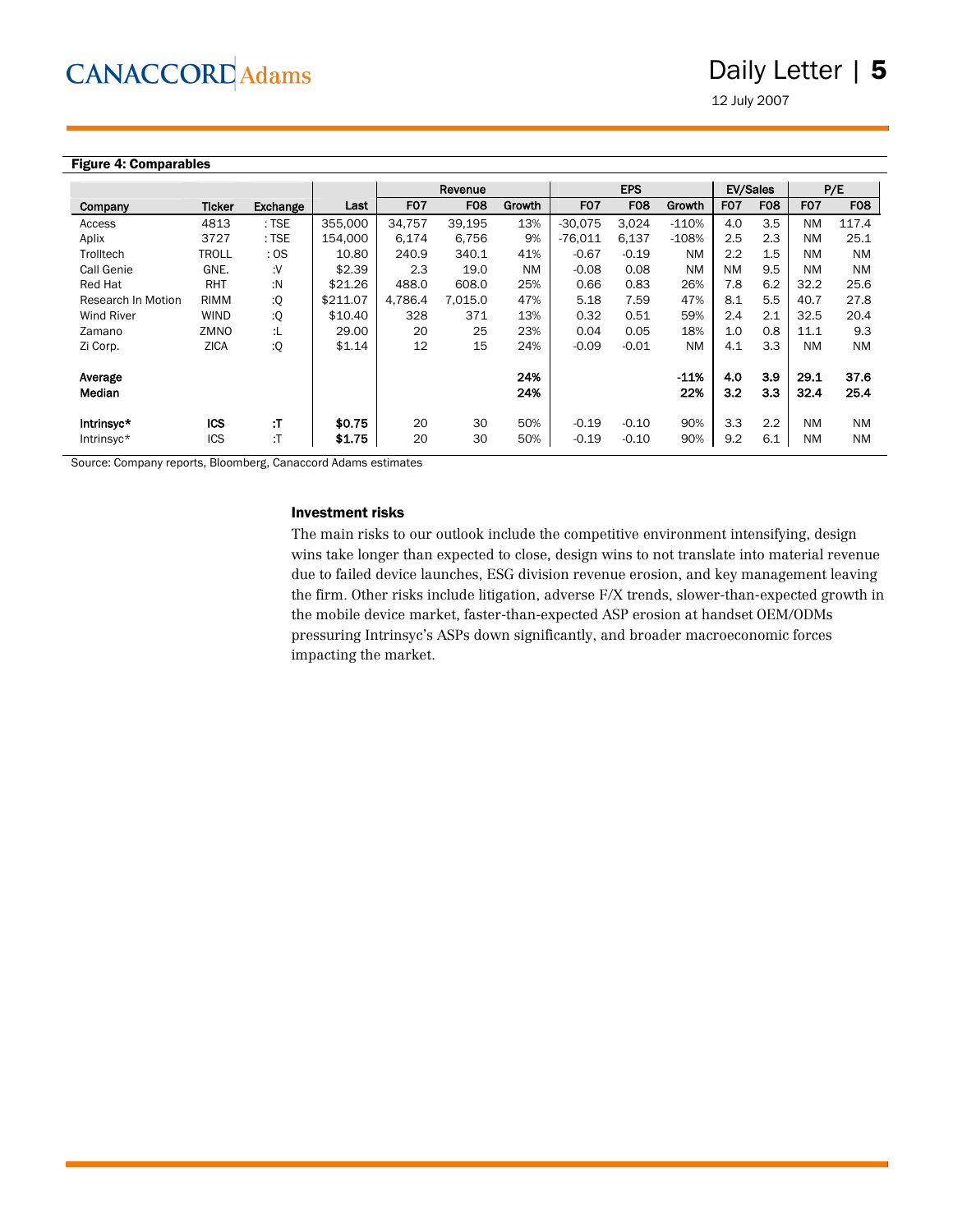12 July 2007

#### Figure 4: Comparables

|                    |               |          |          |                  | Revenue          |           |                  | <b>EPS</b>       |           | <b>EV/Sales</b>  |            |                  | P/E        |
|--------------------|---------------|----------|----------|------------------|------------------|-----------|------------------|------------------|-----------|------------------|------------|------------------|------------|
| Company            | <b>Ticker</b> | Exchange | Last     | F <sub>0</sub> 7 | F <sub>0</sub> 8 | Growth    | F <sub>0</sub> 7 | F <sub>0</sub> 8 | Growth    | F <sub>0</sub> 7 | <b>F08</b> | F <sub>0</sub> 7 | <b>F08</b> |
| Access             | 4813          | $:$ TSE  | 355,000  | 34.757           | 39.195           | 13%       | $-30.075$        | 3.024            | $-110%$   | 4.0              | 3.5        | <b>NM</b>        | 117.4      |
| Aplix              | 3727          | $:$ TSE  | 154.000  | 6.174            | 6.756            | 9%        | $-76.011$        | 6.137            | $-108%$   | 2.5              | 2.3        | <b>NM</b>        | 25.1       |
| Trolltech          | <b>TROLL</b>  | : OS     | 10.80    | 240.9            | 340.1            | 41%       | $-0.67$          | $-0.19$          | <b>NM</b> | 2.2              | 1.5        | <b>NM</b>        | <b>NM</b>  |
| Call Genie         | GNE.          | ٠٧.      | \$2.39   | 2.3              | 19.0             | <b>NM</b> | $-0.08$          | 0.08             | <b>NM</b> | <b>NM</b>        | 9.5        | <b>NM</b>        | <b>NM</b>  |
| Red Hat            | <b>RHT</b>    | :N       | \$21.26  | 488.0            | 608.0            | 25%       | 0.66             | 0.83             | 26%       | 7.8              | 6.2        | 32.2             | 25.6       |
| Research In Motion | <b>RIMM</b>   | :Q       | \$211.07 | 4.786.4          | 7,015.0          | 47%       | 5.18             | 7.59             | 47%       | 8.1              | 5.5        | 40.7             | 27.8       |
| <b>Wind River</b>  | <b>WIND</b>   | :Q       | \$10.40  | 328              | 371              | 13%       | 0.32             | 0.51             | 59%       | 2.4              | 2.1        | 32.5             | 20.4       |
| Zamano             | ZMNO          | :L       | 29.00    | 20               | 25               | 23%       | 0.04             | 0.05             | 18%       | 1.0              | 0.8        | 11.1             | 9.3        |
| Zi Corp.           | <b>ZICA</b>   | :Q       | \$1.14   | 12               | 15               | 24%       | $-0.09$          | $-0.01$          | <b>NM</b> | 4.1              | 3.3        | <b>NM</b>        | <b>NM</b>  |
|                    |               |          |          |                  |                  |           |                  |                  |           |                  |            |                  |            |
| Average            |               |          |          |                  |                  | 24%       |                  |                  | $-11%$    | 4.0              | 3.9        | 29.1             | 37.6       |
| Median             |               |          |          |                  |                  | 24%       |                  |                  | 22%       | 3.2              | 3.3        | 32.4             | 25.4       |
| Intrinsyc*         | <b>ICS</b>    | :Т       | \$0.75   | 20               | 30               | 50%       | $-0.19$          | $-0.10$          | 90%       | 3.3              | 2.2        | <b>NM</b>        | <b>NM</b>  |
| Intrinsyc*         | ICS           | :Т       | \$1.75   | 20               | 30               | 50%       | $-0.19$          | $-0.10$          | 90%       | 9.2              | 6.1        | <b>NM</b>        | <b>NM</b>  |

Source: Company reports, Bloomberg, Canaccord Adams estimates

#### Investment risks

The main risks to our outlook include the competitive environment intensifying, design wins take longer than expected to close, design wins to not translate into material revenue due to failed device launches, ESG division revenue erosion, and key management leaving the firm. Other risks include litigation, adverse F/X trends, slower-than-expected growth in the mobile device market, faster-than-expected ASP erosion at handset OEM/ODMs pressuring Intrinsyc's ASPs down significantly, and broader macroeconomic forces impacting the market.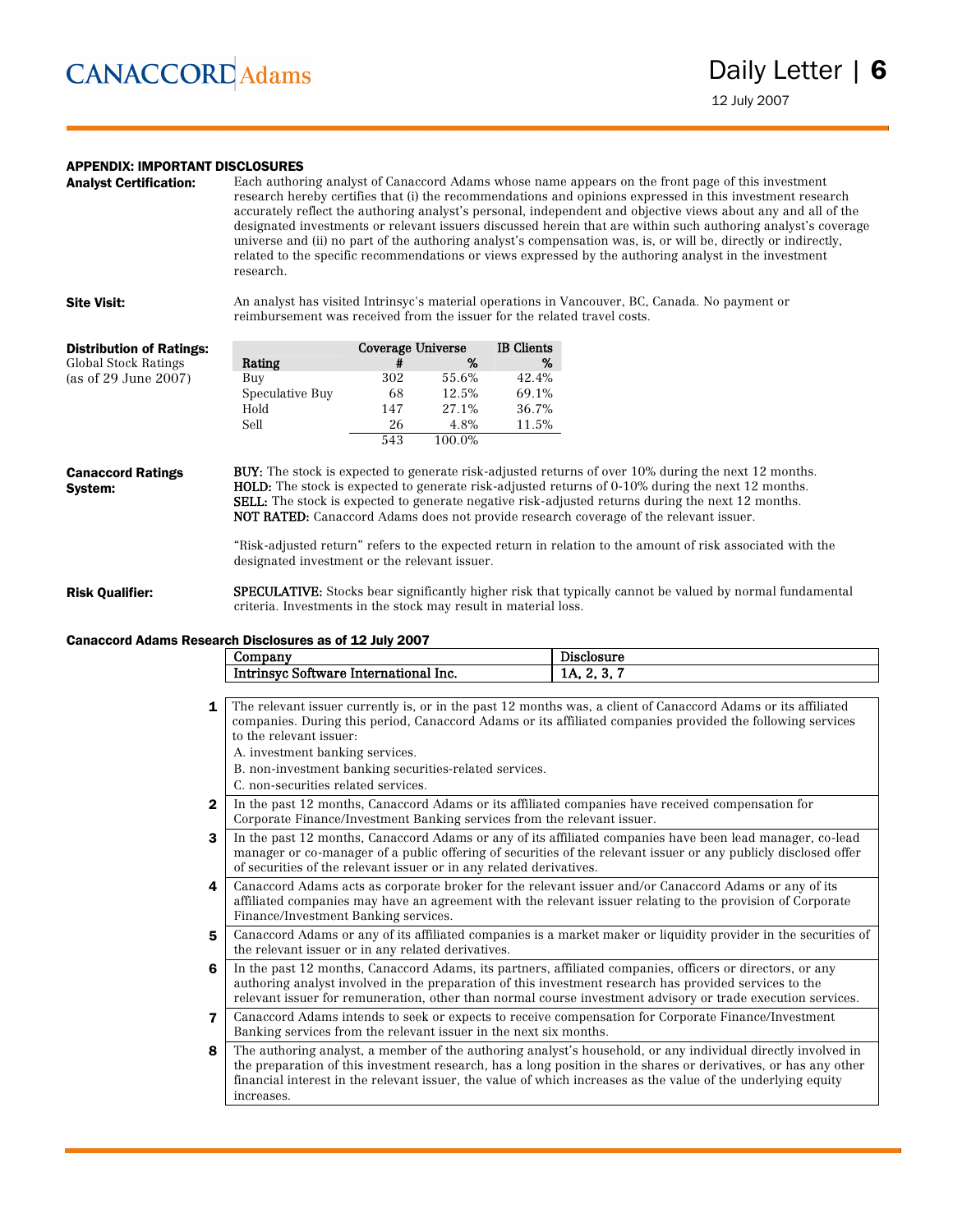#### APPENDIX: IMPORTANT DISCLOSURES

| <b>Analyst Certification:</b>       | Each authoring analyst of Canaccord Adams whose name appears on the front page of this investment<br>research hereby certifies that (i) the recommendations and opinions expressed in this investment research<br>accurately reflect the authoring analyst's personal, independent and objective views about any and all of the<br>designated investments or relevant issuers discussed herein that are within such authoring analyst's coverage<br>universe and (ii) no part of the authoring analyst's compensation was, is, or will be, directly or indirectly,<br>related to the specific recommendations or views expressed by the authoring analyst in the investment<br>research. |                   |        |                   |                                                                                                                                                                                                                                                                                                                                                                                                                                                                                                                                                  |  |
|-------------------------------------|------------------------------------------------------------------------------------------------------------------------------------------------------------------------------------------------------------------------------------------------------------------------------------------------------------------------------------------------------------------------------------------------------------------------------------------------------------------------------------------------------------------------------------------------------------------------------------------------------------------------------------------------------------------------------------------|-------------------|--------|-------------------|--------------------------------------------------------------------------------------------------------------------------------------------------------------------------------------------------------------------------------------------------------------------------------------------------------------------------------------------------------------------------------------------------------------------------------------------------------------------------------------------------------------------------------------------------|--|
| <b>Site Visit:</b>                  | reimbursement was received from the issuer for the related travel costs.                                                                                                                                                                                                                                                                                                                                                                                                                                                                                                                                                                                                                 |                   |        |                   | An analyst has visited Intrinsyc's material operations in Vancouver, BC, Canada. No payment or                                                                                                                                                                                                                                                                                                                                                                                                                                                   |  |
| <b>Distribution of Ratings:</b>     |                                                                                                                                                                                                                                                                                                                                                                                                                                                                                                                                                                                                                                                                                          | Coverage Universe |        | <b>IB</b> Clients |                                                                                                                                                                                                                                                                                                                                                                                                                                                                                                                                                  |  |
| <b>Global Stock Ratings</b>         | Rating                                                                                                                                                                                                                                                                                                                                                                                                                                                                                                                                                                                                                                                                                   | #                 | %      | %                 |                                                                                                                                                                                                                                                                                                                                                                                                                                                                                                                                                  |  |
| (as of 29 June 2007)                | Buy                                                                                                                                                                                                                                                                                                                                                                                                                                                                                                                                                                                                                                                                                      | 302               | 55.6%  | 42.4%             |                                                                                                                                                                                                                                                                                                                                                                                                                                                                                                                                                  |  |
|                                     | Speculative Buy                                                                                                                                                                                                                                                                                                                                                                                                                                                                                                                                                                                                                                                                          | 68                | 12.5%  | 69.1%             |                                                                                                                                                                                                                                                                                                                                                                                                                                                                                                                                                  |  |
|                                     | Hold                                                                                                                                                                                                                                                                                                                                                                                                                                                                                                                                                                                                                                                                                     | 147               | 27.1%  | 36.7%             |                                                                                                                                                                                                                                                                                                                                                                                                                                                                                                                                                  |  |
|                                     | Sell                                                                                                                                                                                                                                                                                                                                                                                                                                                                                                                                                                                                                                                                                     | 26                | 4.8%   | 11.5%             |                                                                                                                                                                                                                                                                                                                                                                                                                                                                                                                                                  |  |
|                                     |                                                                                                                                                                                                                                                                                                                                                                                                                                                                                                                                                                                                                                                                                          | 543               | 100.0% |                   |                                                                                                                                                                                                                                                                                                                                                                                                                                                                                                                                                  |  |
| <b>Canaccord Ratings</b><br>System: | designated investment or the relevant issuer.                                                                                                                                                                                                                                                                                                                                                                                                                                                                                                                                                                                                                                            |                   |        |                   | <b>BUY:</b> The stock is expected to generate risk-adjusted returns of over 10% during the next 12 months.<br><b>HOLD:</b> The stock is expected to generate risk-adjusted returns of 0-10% during the next 12 months.<br><b>SELL:</b> The stock is expected to generate negative risk-adjusted returns during the next 12 months.<br><b>NOT RATED:</b> Canaccord Adams does not provide research coverage of the relevant issuer.<br>"Risk-adjusted return" refers to the expected return in relation to the amount of risk associated with the |  |

Risk Qualifier: SPECULATIVE: Stocks bear significantly higher risk that typically cannot be valued by normal fundamental criteria. Investments in the stock may result in material loss.

#### Canaccord Adams Research Disclosures as of 12 July 2007

|                | Company                                                                                                         | <b>Disclosure</b> |  |  |  |  |  |  |
|----------------|-----------------------------------------------------------------------------------------------------------------|-------------------|--|--|--|--|--|--|
|                | Intrinsyc Software International Inc.                                                                           | 1A, 2, 3, 7       |  |  |  |  |  |  |
|                |                                                                                                                 |                   |  |  |  |  |  |  |
| 1              | The relevant issuer currently is, or in the past 12 months was, a client of Canaccord Adams or its affiliated   |                   |  |  |  |  |  |  |
|                | companies. During this period, Canaccord Adams or its affiliated companies provided the following services      |                   |  |  |  |  |  |  |
|                | to the relevant issuer:                                                                                         |                   |  |  |  |  |  |  |
|                | A. investment banking services.                                                                                 |                   |  |  |  |  |  |  |
|                | B. non-investment banking securities-related services.                                                          |                   |  |  |  |  |  |  |
|                | C. non-securities related services.                                                                             |                   |  |  |  |  |  |  |
| $\mathbf{2}$   | In the past 12 months, Canaccord Adams or its affiliated companies have received compensation for               |                   |  |  |  |  |  |  |
|                | Corporate Finance/Investment Banking services from the relevant issuer.                                         |                   |  |  |  |  |  |  |
| 3              | In the past 12 months, Canaccord Adams or any of its affiliated companies have been lead manager, co-lead       |                   |  |  |  |  |  |  |
|                | manager or co-manager of a public offering of securities of the relevant issuer or any publicly disclosed offer |                   |  |  |  |  |  |  |
|                | of securities of the relevant issuer or in any related derivatives.                                             |                   |  |  |  |  |  |  |
| 4              | Canaccord Adams acts as corporate broker for the relevant issuer and/or Canaccord Adams or any of its           |                   |  |  |  |  |  |  |
|                | affiliated companies may have an agreement with the relevant issuer relating to the provision of Corporate      |                   |  |  |  |  |  |  |
|                | Finance/Investment Banking services.                                                                            |                   |  |  |  |  |  |  |
| 5              | Canaccord Adams or any of its affiliated companies is a market maker or liquidity provider in the securities of |                   |  |  |  |  |  |  |
|                | the relevant issuer or in any related derivatives.                                                              |                   |  |  |  |  |  |  |
| 6              | In the past 12 months, Canaccord Adams, its partners, affiliated companies, officers or directors, or any       |                   |  |  |  |  |  |  |
|                | authoring analyst involved in the preparation of this investment research has provided services to the          |                   |  |  |  |  |  |  |
|                | relevant issuer for remuneration, other than normal course investment advisory or trade execution services.     |                   |  |  |  |  |  |  |
| $\overline{7}$ | Canaccord Adams intends to seek or expects to receive compensation for Corporate Finance/Investment             |                   |  |  |  |  |  |  |
|                | Banking services from the relevant issuer in the next six months.                                               |                   |  |  |  |  |  |  |
| 8              | The authoring analyst, a member of the authoring analyst's household, or any individual directly involved in    |                   |  |  |  |  |  |  |
|                | the preparation of this investment research, has a long position in the shares or derivatives, or has any other |                   |  |  |  |  |  |  |
|                | financial interest in the relevant issuer, the value of which increases as the value of the underlying equity   |                   |  |  |  |  |  |  |
|                | increases.                                                                                                      |                   |  |  |  |  |  |  |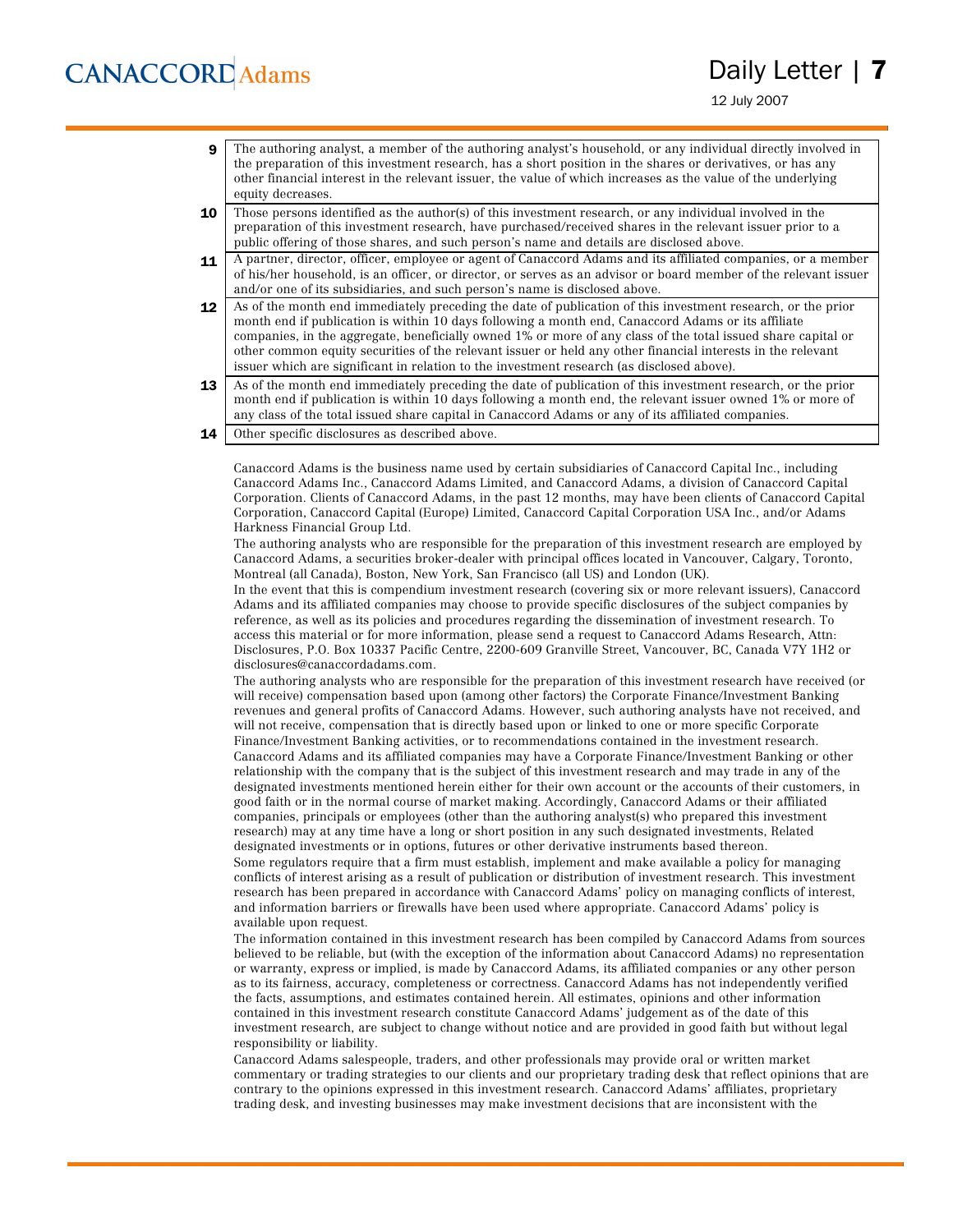12 July 2007

- 9 The authoring analyst, a member of the authoring analyst's household, or any individual directly involved in the preparation of this investment research, has a short position in the shares or derivatives, or has any other financial interest in the relevant issuer, the value of which increases as the value of the underlying equity decreases.
- 10 Those persons identified as the author(s) of this investment research, or any individual involved in the preparation of this investment research, have purchased/received shares in the relevant issuer prior to a public offering of those shares, and such person's name and details are disclosed above.
- 11 A partner, director, officer, employee or agent of Canaccord Adams and its affiliated companies, or a member of his/her household, is an officer, or director, or serves as an advisor or board member of the relevant issuer and/or one of its subsidiaries, and such person's name is disclosed above.
- 12 As of the month end immediately preceding the date of publication of this investment research, or the prior month end if publication is within 10 days following a month end, Canaccord Adams or its affiliate companies, in the aggregate, beneficially owned 1% or more of any class of the total issued share capital or other common equity securities of the relevant issuer or held any other financial interests in the relevant issuer which are significant in relation to the investment research (as disclosed above).
- 13 As of the month end immediately preceding the date of publication of this investment research, or the prior month end if publication is within 10 days following a month end, the relevant issuer owned 1% or more of any class of the total issued share capital in Canaccord Adams or any of its affiliated companies.
- 14 Other specific disclosures as described above.

Canaccord Adams is the business name used by certain subsidiaries of Canaccord Capital Inc., including Canaccord Adams Inc., Canaccord Adams Limited, and Canaccord Adams, a division of Canaccord Capital Corporation. Clients of Canaccord Adams, in the past 12 months, may have been clients of Canaccord Capital Corporation, Canaccord Capital (Europe) Limited, Canaccord Capital Corporation USA Inc., and/or Adams Harkness Financial Group Ltd.

The authoring analysts who are responsible for the preparation of this investment research are employed by Canaccord Adams, a securities broker-dealer with principal offices located in Vancouver, Calgary, Toronto, Montreal (all Canada), Boston, New York, San Francisco (all US) and London (UK).

In the event that this is compendium investment research (covering six or more relevant issuers), Canaccord Adams and its affiliated companies may choose to provide specific disclosures of the subject companies by reference, as well as its policies and procedures regarding the dissemination of investment research. To access this material or for more information, please send a request to Canaccord Adams Research, Attn: Disclosures, P.O. Box 10337 Pacific Centre, 2200-609 Granville Street, Vancouver, BC, Canada V7Y 1H2 or disclosures@canaccordadams.com.

The authoring analysts who are responsible for the preparation of this investment research have received (or will receive) compensation based upon (among other factors) the Corporate Finance/Investment Banking revenues and general profits of Canaccord Adams. However, such authoring analysts have not received, and will not receive, compensation that is directly based upon or linked to one or more specific Corporate Finance/Investment Banking activities, or to recommendations contained in the investment research. Canaccord Adams and its affiliated companies may have a Corporate Finance/Investment Banking or other relationship with the company that is the subject of this investment research and may trade in any of the designated investments mentioned herein either for their own account or the accounts of their customers, in good faith or in the normal course of market making. Accordingly, Canaccord Adams or their affiliated companies, principals or employees (other than the authoring analyst(s) who prepared this investment research) may at any time have a long or short position in any such designated investments, Related designated investments or in options, futures or other derivative instruments based thereon. Some regulators require that a firm must establish, implement and make available a policy for managing conflicts of interest arising as a result of publication or distribution of investment research. This investment research has been prepared in accordance with Canaccord Adams' policy on managing conflicts of interest, and information barriers or firewalls have been used where appropriate. Canaccord Adams' policy is

available upon request.

The information contained in this investment research has been compiled by Canaccord Adams from sources believed to be reliable, but (with the exception of the information about Canaccord Adams) no representation or warranty, express or implied, is made by Canaccord Adams, its affiliated companies or any other person as to its fairness, accuracy, completeness or correctness. Canaccord Adams has not independently verified the facts, assumptions, and estimates contained herein. All estimates, opinions and other information contained in this investment research constitute Canaccord Adams' judgement as of the date of this investment research, are subject to change without notice and are provided in good faith but without legal responsibility or liability.

Canaccord Adams salespeople, traders, and other professionals may provide oral or written market commentary or trading strategies to our clients and our proprietary trading desk that reflect opinions that are contrary to the opinions expressed in this investment research. Canaccord Adams' affiliates, proprietary trading desk, and investing businesses may make investment decisions that are inconsistent with the